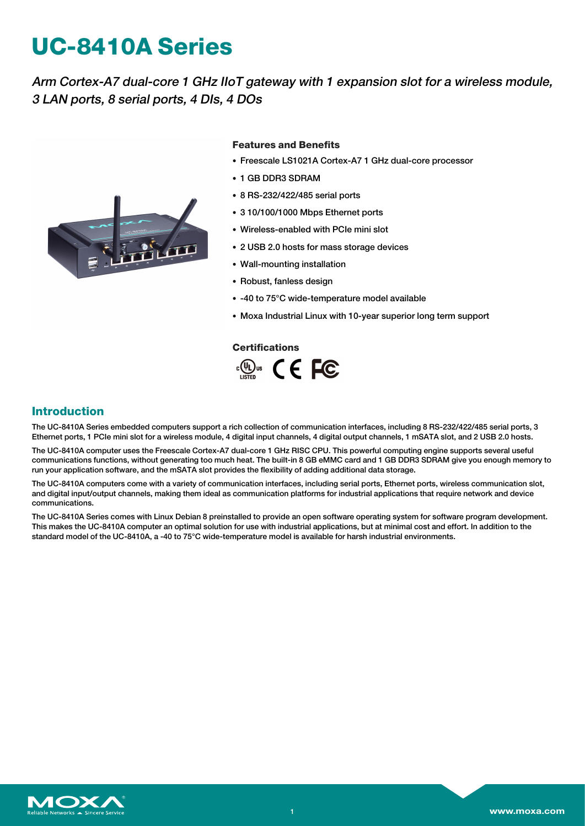# **UC-8410A Series**

Arm Cortex-A7 dual-core 1 GHz IIoT gateway with 1 expansion slot for <sup>a</sup> wireless module, 3 LAN ports, 8 serial ports, 4 DIs, 4 DOs



#### **Features and Benefits**

- Freescale LS1021A Cortex-A7 1 GHz dual-core processor
- 1 GB DDR3 SDRAM
- 8 RS-232/422/485 serial ports
- 3 10/100/1000 Mbps Ethernet ports
- Wireless-enabled with PCIe mini slot
- 2 USB 2.0 hosts for mass storage devices
- Wall-mounting installation
- Robust, fanless design
- -40 to 75°C wide-temperature model available
- Moxa Industrial Linux with 10-year superior long term support

#### **Certifications**



## **Introduction**

The UC-8410A Series embedded computers support a rich collection of communication interfaces, including 8 RS-232/422/485 serial ports, 3 Ethernet ports, 1 PCIe mini slot for a wireless module, 4 digital input channels, 4 digital output channels, 1 mSATA slot, and 2 USB 2.0 hosts.

The UC-8410A computer uses the Freescale Cortex-A7 dual-core 1 GHz RISC CPU. This powerful computing engine supports several useful communications functions, without generating too much heat. The built-in 8 GB eMMC card and 1 GB DDR3 SDRAM give you enough memory to run your application software, and the mSATA slot provides the flexibility of adding additional data storage.

The UC-8410A computers come with a variety of communication interfaces, including serial ports, Ethernet ports, wireless communication slot, and digital input/output channels, making them ideal as communication platforms for industrial applications that require network and device communications.

The UC-8410A Series comes with Linux Debian 8 preinstalled to provide an open software operating system for software program development. This makes the UC-8410A computer an optimal solution for use with industrial applications, but at minimal cost and effort. In addition to the standard model of the UC-8410A, a -40 to 75°C wide-temperature model is available for harsh industrial environments.

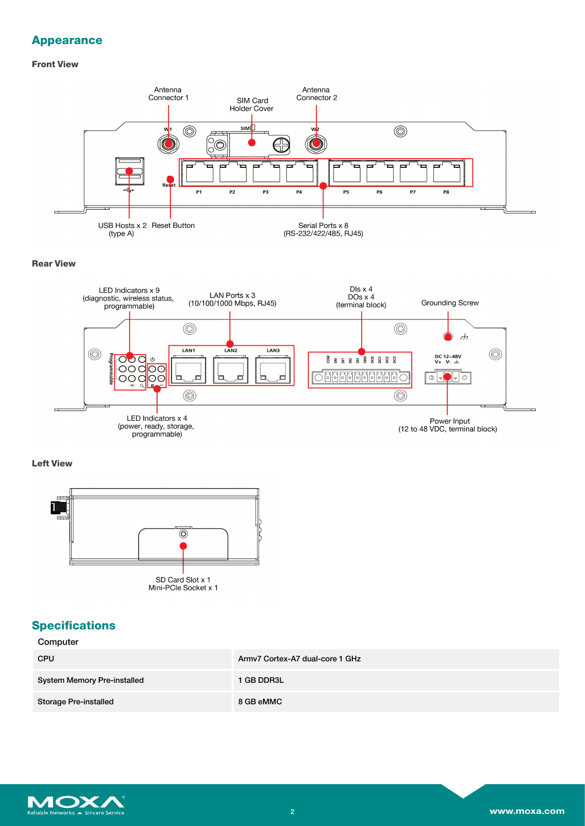## **Appearance**

#### **Front View**



#### **Rear View**



## **Left View**



## **Specifications**

| Computer |
|----------|
|----------|

| <b>CPU</b>                         | Army7 Cortex-A7 dual-core 1 GHz |
|------------------------------------|---------------------------------|
| <b>System Memory Pre-installed</b> | 1 GB DDR3L                      |
| <b>Storage Pre-installed</b>       | 8 GB eMMC                       |

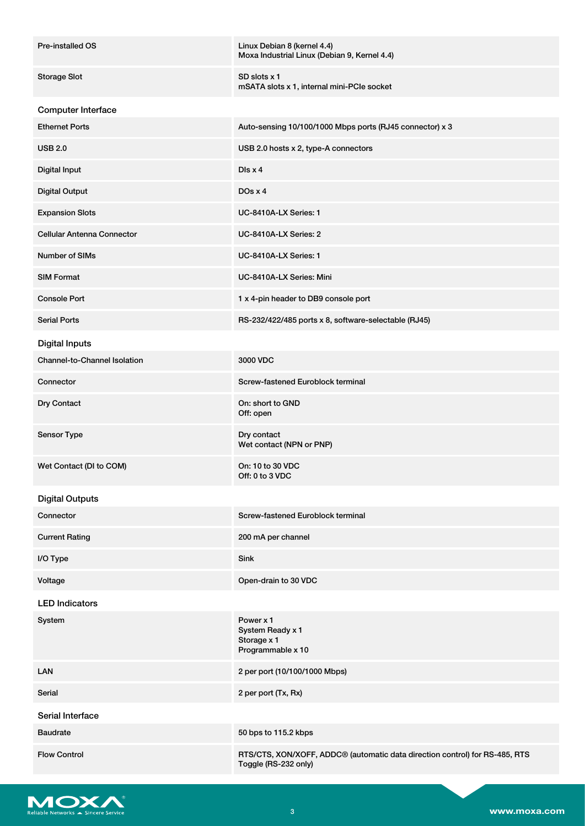| <b>Pre-installed OS</b>           | Linux Debian 8 (kernel 4.4)<br>Moxa Industrial Linux (Debian 9, Kernel 4.4)                                     |
|-----------------------------------|-----------------------------------------------------------------------------------------------------------------|
| <b>Storage Slot</b>               | SD slots x 1<br>mSATA slots x 1, internal mini-PCIe socket                                                      |
| Computer Interface                |                                                                                                                 |
| <b>Ethernet Ports</b>             | Auto-sensing 10/100/1000 Mbps ports (RJ45 connector) x 3                                                        |
| <b>USB 2.0</b>                    | USB 2.0 hosts x 2, type-A connectors                                                                            |
| <b>Digital Input</b>              | $DIS \times 4$                                                                                                  |
| <b>Digital Output</b>             | DOS X 4                                                                                                         |
| <b>Expansion Slots</b>            | UC-8410A-LX Series: 1                                                                                           |
| <b>Cellular Antenna Connector</b> | UC-8410A-LX Series: 2                                                                                           |
| <b>Number of SIMs</b>             | UC-8410A-LX Series: 1                                                                                           |
| <b>SIM Format</b>                 | UC-8410A-LX Series: Mini                                                                                        |
| <b>Console Port</b>               | 1 x 4-pin header to DB9 console port                                                                            |
| <b>Serial Ports</b>               | RS-232/422/485 ports x 8, software-selectable (RJ45)                                                            |
| <b>Digital Inputs</b>             |                                                                                                                 |
| Channel-to-Channel Isolation      | 3000 VDC                                                                                                        |
| Connector                         | Screw-fastened Euroblock terminal                                                                               |
| Dry Contact                       | On: short to GND<br>Off: open                                                                                   |
| Sensor Type                       | Dry contact<br>Wet contact (NPN or PNP)                                                                         |
| Wet Contact (DI to COM)           | On: 10 to 30 VDC<br>Off: 0 to 3 VDC                                                                             |
| <b>Digital Outputs</b>            |                                                                                                                 |
| Connector                         | Screw-fastened Euroblock terminal                                                                               |
| <b>Current Rating</b>             | 200 mA per channel                                                                                              |
| I/O Type                          | <b>Sink</b>                                                                                                     |
| Voltage                           | Open-drain to 30 VDC                                                                                            |
| <b>LED Indicators</b>             |                                                                                                                 |
| System                            | Power x 1<br>System Ready x 1<br>Storage x 1<br>Programmable x 10                                               |
| <b>LAN</b>                        | 2 per port (10/100/1000 Mbps)                                                                                   |
| Serial                            | 2 per port (Tx, Rx)                                                                                             |
| Serial Interface                  |                                                                                                                 |
| <b>Baudrate</b>                   | 50 bps to 115.2 kbps                                                                                            |
| <b>Flow Control</b>               | RTS/CTS, XON/XOFF, ADDC <sup>®</sup> (automatic data direction control) for RS-485, RTS<br>Toggle (RS-232 only) |

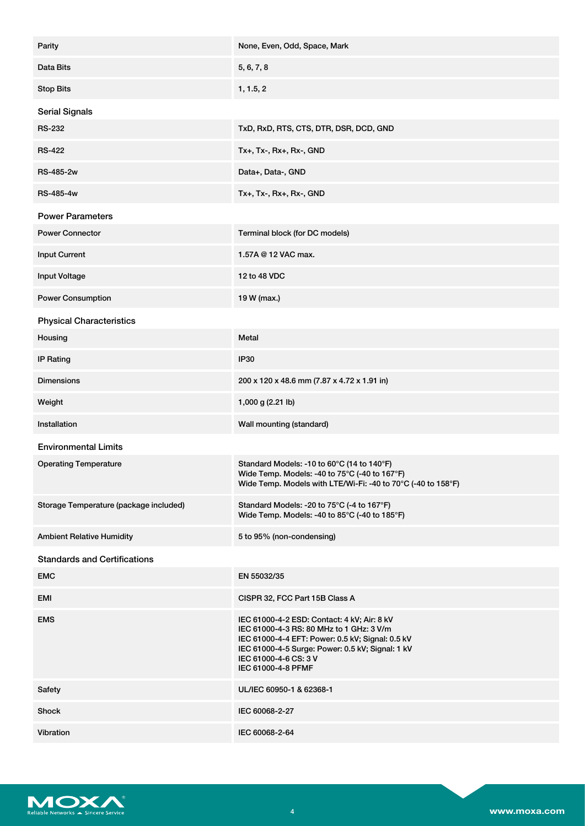| Parity                                 | None, Even, Odd, Space, Mark                                                                                                                                                                                                                   |
|----------------------------------------|------------------------------------------------------------------------------------------------------------------------------------------------------------------------------------------------------------------------------------------------|
| Data Bits                              | 5, 6, 7, 8                                                                                                                                                                                                                                     |
| <b>Stop Bits</b>                       | 1, 1.5, 2                                                                                                                                                                                                                                      |
| <b>Serial Signals</b>                  |                                                                                                                                                                                                                                                |
| <b>RS-232</b>                          | TxD, RxD, RTS, CTS, DTR, DSR, DCD, GND                                                                                                                                                                                                         |
| <b>RS-422</b>                          | Tx+, Tx-, Rx+, Rx-, GND                                                                                                                                                                                                                        |
| <b>RS-485-2w</b>                       | Data+, Data-, GND                                                                                                                                                                                                                              |
| RS-485-4w                              | Tx+, Tx-, Rx+, Rx-, GND                                                                                                                                                                                                                        |
| <b>Power Parameters</b>                |                                                                                                                                                                                                                                                |
| <b>Power Connector</b>                 | Terminal block (for DC models)                                                                                                                                                                                                                 |
| <b>Input Current</b>                   | 1.57A @ 12 VAC max.                                                                                                                                                                                                                            |
| Input Voltage                          | 12 to 48 VDC                                                                                                                                                                                                                                   |
| <b>Power Consumption</b>               | 19 W (max.)                                                                                                                                                                                                                                    |
| <b>Physical Characteristics</b>        |                                                                                                                                                                                                                                                |
| Housing                                | Metal                                                                                                                                                                                                                                          |
| <b>IP Rating</b>                       | <b>IP30</b>                                                                                                                                                                                                                                    |
| <b>Dimensions</b>                      | 200 x 120 x 48.6 mm (7.87 x 4.72 x 1.91 in)                                                                                                                                                                                                    |
| Weight                                 | 1,000 g (2.21 lb)                                                                                                                                                                                                                              |
| Installation                           | Wall mounting (standard)                                                                                                                                                                                                                       |
| <b>Environmental Limits</b>            |                                                                                                                                                                                                                                                |
| <b>Operating Temperature</b>           | Standard Models: -10 to 60°C (14 to 140°F)<br>Wide Temp. Models: -40 to 75°C (-40 to 167°F)<br>Wide Temp. Models with LTE/Wi-Fi: -40 to 70°C (-40 to 158°F)                                                                                    |
| Storage Temperature (package included) | Standard Models: -20 to 75°C (-4 to 167°F)<br>Wide Temp. Models: -40 to 85°C (-40 to 185°F)                                                                                                                                                    |
| <b>Ambient Relative Humidity</b>       | 5 to 95% (non-condensing)                                                                                                                                                                                                                      |
| <b>Standards and Certifications</b>    |                                                                                                                                                                                                                                                |
| <b>EMC</b>                             | EN 55032/35                                                                                                                                                                                                                                    |
| EMI                                    | CISPR 32, FCC Part 15B Class A                                                                                                                                                                                                                 |
| <b>EMS</b>                             | IEC 61000-4-2 ESD: Contact: 4 kV; Air: 8 kV<br>IEC 61000-4-3 RS: 80 MHz to 1 GHz: 3 V/m<br>IEC 61000-4-4 EFT: Power: 0.5 kV; Signal: 0.5 kV<br>IEC 61000-4-5 Surge: Power: 0.5 kV; Signal: 1 kV<br>IEC 61000-4-6 CS: 3 V<br>IEC 61000-4-8 PFMF |
| Safety                                 | UL/IEC 60950-1 & 62368-1                                                                                                                                                                                                                       |
| Shock                                  | IEC 60068-2-27                                                                                                                                                                                                                                 |
| Vibration                              | IEC 60068-2-64                                                                                                                                                                                                                                 |

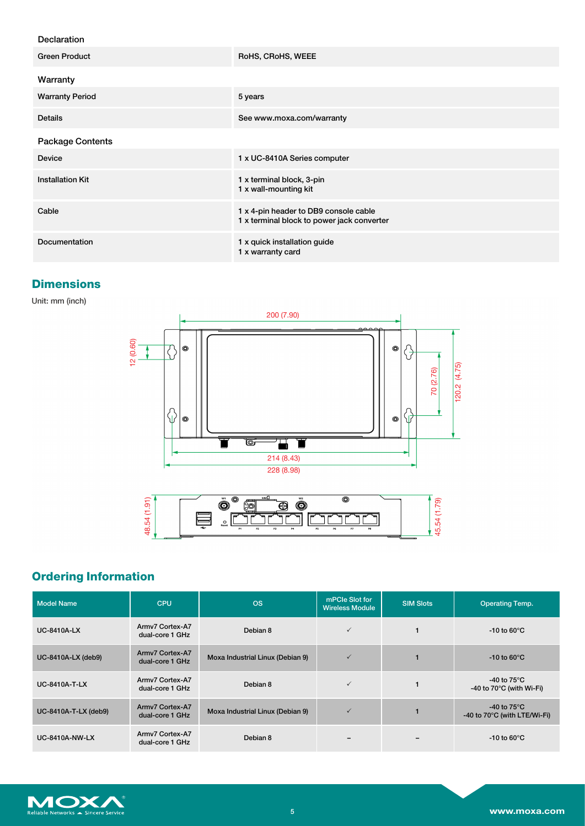## Declaration

| <b>Green Product</b>    | RoHS, CRoHS, WEEE                                                                   |
|-------------------------|-------------------------------------------------------------------------------------|
| Warranty                |                                                                                     |
| <b>Warranty Period</b>  | 5 years                                                                             |
| <b>Details</b>          | See www.moxa.com/warranty                                                           |
| <b>Package Contents</b> |                                                                                     |
| <b>Device</b>           | 1 x UC-8410A Series computer                                                        |
| <b>Installation Kit</b> | 1 x terminal block, 3-pin<br>1 x wall-mounting kit                                  |
| Cable                   | 1 x 4-pin header to DB9 console cable<br>1 x terminal block to power jack converter |
| Documentation           | 1 x quick installation guide<br>1 x warranty card                                   |

# **Dimensions**

Unit: mm (inch)





# **Ordering Information**

| <b>Model Name</b>     | <b>CPU</b>                         | <b>OS</b>                        | mPCIe Slot for<br><b>Wireless Module</b> | <b>SIM Slots</b> | <b>Operating Temp.</b>                                          |
|-----------------------|------------------------------------|----------------------------------|------------------------------------------|------------------|-----------------------------------------------------------------|
| <b>UC-8410A-LX</b>    | Army7 Cortex-A7<br>dual-core 1 GHz | Debian 8                         | $\checkmark$                             | 1                | -10 to 60 $\degree$ C                                           |
| UC-8410A-LX (deb9)    | Army7 Cortex-A7<br>dual-core 1 GHz | Moxa Industrial Linux (Debian 9) | $\checkmark$                             | 1                | $-10$ to 60 $\degree$ C                                         |
| <b>UC-8410A-T-LX</b>  | Army7 Cortex-A7<br>dual-core 1 GHz | Debian 8                         | $\checkmark$                             | 1                | -40 to $75^{\circ}$ C<br>-40 to $70^{\circ}$ C (with Wi-Fi)     |
| UC-8410A-T-LX (deb9)  | Army7 Cortex-A7<br>dual-core 1 GHz | Moxa Industrial Linux (Debian 9) | $\checkmark$                             |                  | -40 to $75^{\circ}$ C<br>-40 to $70^{\circ}$ C (with LTE/Wi-Fi) |
| <b>UC-8410A-NW-LX</b> | Army7 Cortex-A7<br>dual-core 1 GHz | Debian 8                         |                                          |                  | $-10$ to 60 $\degree$ C                                         |